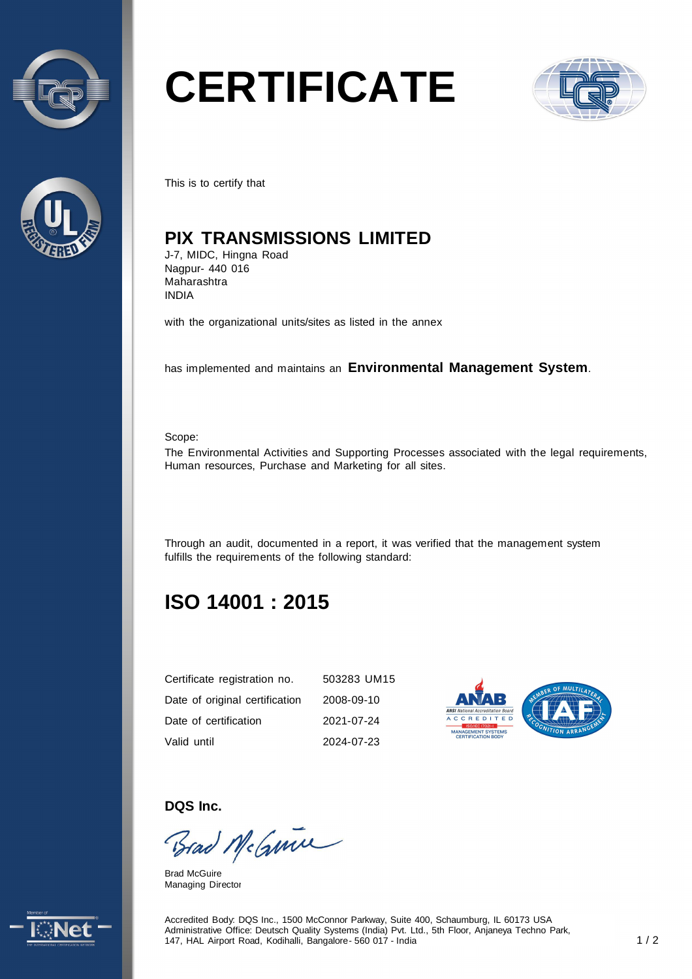



# **CERTIFICATE**



This is to certify that

# **PIX TRANSMISSIONS LIMITED**

J-7, MIDC, Hingna Road Nagpur- 440 016 Maharashtra INDIA

with the organizational units/sites as listed in the annex

has implemented and maintains an **Environmental Management System**.

Scope:

The Environmental Activities and Supporting Processes associated with the legal requirements, Human resources, Purchase and Marketing for all sites.

Through an audit, documented in a report, it was verified that the management system fulfills the requirements of the following standard:

# **ISO 14001 : 2015**

| Certificate registration no.   | 503283 UM15 |
|--------------------------------|-------------|
| Date of original certification | 2008-09-10  |
| Date of certification          | 2021-07-24  |
| Valid until                    | 2024-07-23  |



**DQS Inc.** 

Brad McGuine

Brad McGuire Managing Director



Accredited Body: DQS Inc., 1500 McConnor Parkway, Suite 400, Schaumburg, IL 60173 USA Administrative Office: Deutsch Quality Systems (India) Pvt. Ltd., 5th Floor, Anjaneya Techno Park, 147, HAL Airport Road, Kodihalli, Bangalore - 560 017 - India 1 / 2